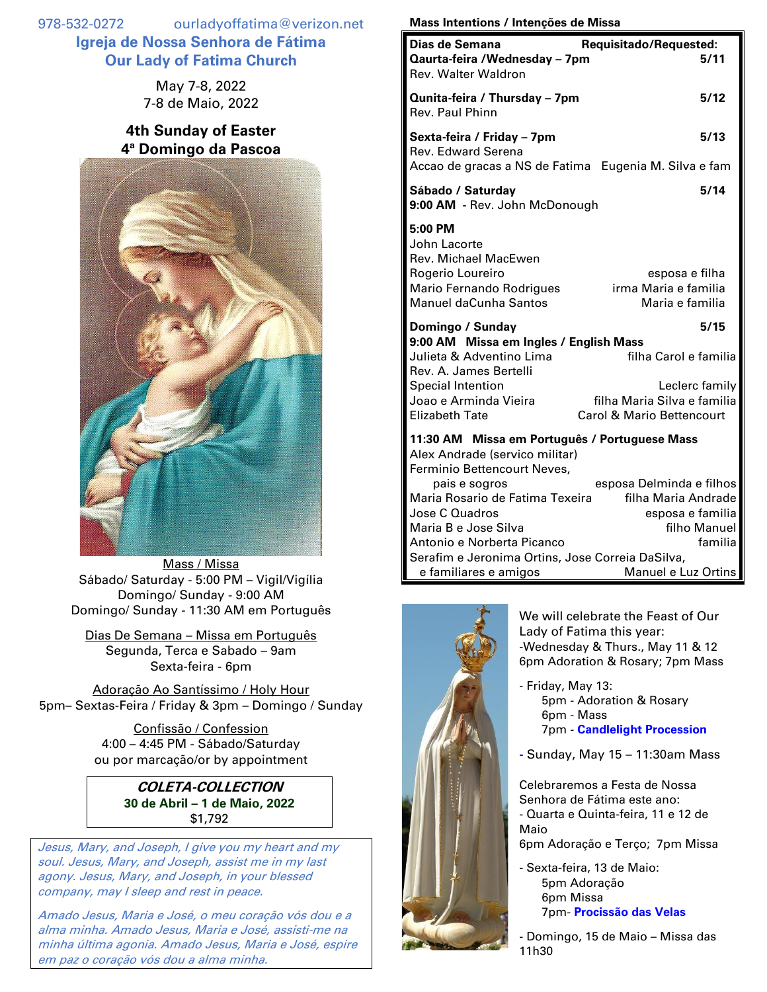978-532-0272 ourladyoffatima@verizon.net **Igreja de Nossa Senhora de Fátima Our Lady of Fatima Church**

> May 7-8, 2022 7-8 de Maio, 2022

## **4th Sunday of Easter 4ª Domingo da Pascoa**



Mass / Missa Sábado/ Saturday - 5:00 PM – Vigil/Vigília Domingo/ Sunday - 9:00 AM Domingo/ Sunday - 11:30 AM em Português

Dias De Semana – Missa em Português Segunda, Terca e Sabado – 9am Sexta-feira - 6pm

Adoração Ao Santíssimo / Holy Hour 5pm– Sextas-Feira / Friday & 3pm – Domingo / Sunday

> Confissão / Confession 4:00 – 4:45 PM - Sábado/Saturday ou por marcação/or by appointment

## **COLETA-COLLECTION 30 de Abril – 1 de Maio, 2022** \$1,792

Jesus, Mary, and Joseph, I give you my heart and my soul. Jesus, Mary, and Joseph, assist me in my last agony. Jesus, Mary, and Joseph, in your blessed company, may I sleep and rest in peace.

Amado Jesus, Maria e José, o meu coração vós dou e a alma minha. Amado Jesus, Maria e José, assisti-me na minha última agonia. Amado Jesus, Maria e José, espire em paz o coração vós dou a alma minha.

## **Mass Intentions / Intenções de Missa**

| Dias de Semana<br>Qaurta-feira /Wednesday - 7pm<br>Rev. Walter Waldron                                                          | Requisitado/Requested:<br>5/11                                             |  |
|---------------------------------------------------------------------------------------------------------------------------------|----------------------------------------------------------------------------|--|
| Qunita-feira / Thursday - 7pm<br>Rev. Paul Phinn                                                                                | 5/12                                                                       |  |
| Sexta-feira / Friday - 7pm<br><b>Rev. Edward Serena</b><br>Accao de gracas a NS de Fatima Eugenia M. Silva e fam                | 5/13                                                                       |  |
| Sábado / Saturday<br>9:00 AM - Rev. John McDonough                                                                              | 5/14                                                                       |  |
| 5:00 PM<br>John Lacorte<br>Rev. Michael MacEwen<br>Rogerio Loureiro<br>Mario Fernando Rodrigues<br><b>Manuel daCunha Santos</b> | esposa e filha<br>irma Maria e familia<br>Maria e familia                  |  |
| Domingo / Sunday                                                                                                                | 5/15                                                                       |  |
| 9:00 AM Missa em Ingles / English Mass<br>Julieta & Adventino Lima<br>Rev. A. James Bertelli                                    | filha Carol e familia                                                      |  |
| <b>Special Intention</b><br>Joao e Arminda Vieira<br><b>Elizabeth Tate</b>                                                      | Leclerc family<br>filha Maria Silva e familia<br>Carol & Mario Bettencourt |  |
| 11:30 AM Missa em Português / Portuguese Mass<br>Alex Andrade (servico militar)<br>Ferminio Bettencourt Neves,                  |                                                                            |  |
| pais e sogros                                                                                                                   | esposa Delminda e filhos                                                   |  |
| Maria Rosario de Fatima Texeira                                                                                                 | filha Maria Andrade                                                        |  |
| Jose C Quadros<br>Maria B e Jose Silva                                                                                          | esposa e familia<br>filho Manuel                                           |  |
| Antonio e Norberta Picanco                                                                                                      | familia                                                                    |  |
| Serafim e Jeronima Ortins, Jose Correia DaSilva,                                                                                |                                                                            |  |
| e familiares e amigos                                                                                                           | Manuel e Luz Ortins                                                        |  |



We will celebrate the Feast of Our Lady of Fatima this year: -Wednesday & Thurs., May 11 & 12 6pm Adoration & Rosary; 7pm Mass

- Friday, May 13: 5pm - Adoration & Rosary 6pm - Mass 7pm - **Candlelight Procession**

**-** Sunday, May 15 – 11:30am Mass

Celebraremos a Festa de Nossa Senhora de Fátima este ano: - Quarta e Quinta-feira, 11 e 12 de Maio

6pm Adoração e Terço; 7pm Missa

- Sexta-feira, 13 de Maio: 5pm Adoração 6pm Missa 7pm- **Procissão das Velas**

- Domingo, 15 de Maio – Missa das 11h30